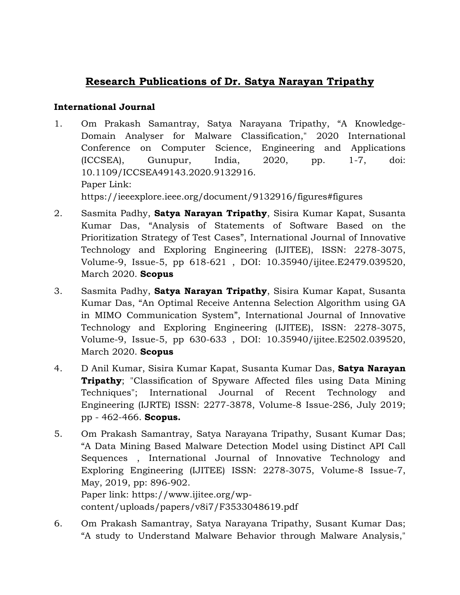# **Research Publications of Dr. Satya Narayan Tripathy**

### **International Journal**

- 1. Om Prakash Samantray, Satya Narayana Tripathy, "A Knowledge-Domain Analyser for Malware Classification," 2020 International Conference on Computer Science, Engineering and Applications (ICCSEA), Gunupur, India, 2020, pp. 1-7, doi: 10.1109/ICCSEA49143.2020.9132916. Paper Link: https://ieeexplore.ieee.org/document/9132916/figures#figures
- 2. Sasmita Padhy, **Satya Narayan Tripathy**, Sisira Kumar Kapat, Susanta Kumar Das, "Analysis of Statements of Software Based on the Prioritization Strategy of Test Cases", International Journal of Innovative Technology and Exploring Engineering (IJITEE), ISSN: 2278-3075, Volume-9, Issue-5, pp 618-621 , DOI: 10.35940/ijitee.E2479.039520, March 2020. **Scopus**
- 3. Sasmita Padhy, **Satya Narayan Tripathy**, Sisira Kumar Kapat, Susanta Kumar Das, "An Optimal Receive Antenna Selection Algorithm using GA in MIMO Communication System", International Journal of Innovative Technology and Exploring Engineering (IJITEE), ISSN: 2278-3075, Volume-9, Issue-5, pp 630-633 , DOI: 10.35940/ijitee.E2502.039520, March 2020. **Scopus**
- 4. D Anil Kumar, Sisira Kumar Kapat, Susanta Kumar Das, **Satya Narayan Tripathy**; "Classification of Spyware Affected files using Data Mining Techniques"; International Journal of Recent Technology and Engineering (IJRTE) ISSN: 2277-3878, Volume-8 Issue-2S6, July 2019; pp - 462-466. **Scopus.**
- 5. Om Prakash Samantray, Satya Narayana Tripathy, Susant Kumar Das; "A Data Mining Based Malware Detection Model using Distinct API Call Sequences , International Journal of Innovative Technology and Exploring Engineering (IJITEE) ISSN: 2278-3075, Volume-8 Issue-7, May, 2019, pp: 896-902. Paper link: https://www.ijitee.org/wp-

content/uploads/papers/v8i7/F3533048619.pdf

6. Om Prakash Samantray, Satya Narayana Tripathy, Susant Kumar Das; "A study to Understand Malware Behavior through Malware Analysis,"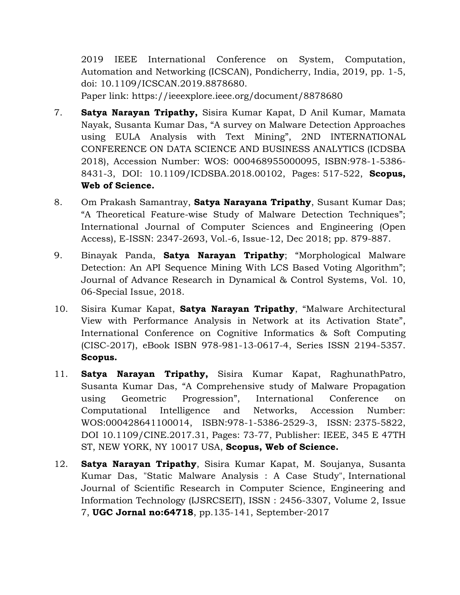2019 IEEE International Conference on System, Computation, Automation and Networking (ICSCAN), Pondicherry, India, 2019, pp. 1-5, doi: 10.1109/ICSCAN.2019.8878680.

Paper link: https://ieeexplore.ieee.org/document/8878680

- 7. **Satya Narayan Tripathy,** Sisira Kumar Kapat, D Anil Kumar, Mamata Nayak, Susanta Kumar Das, "A survey on Malware Detection Approaches using EULA Analysis with Text Mining", 2ND INTERNATIONAL CONFERENCE ON DATA SCIENCE AND BUSINESS ANALYTICS (ICDSBA 2018), Accession Number: WOS: 000468955000095, ISBN:978-1-5386- 8431-3, DOI: 10.1109/ICDSBA.2018.00102, Pages: 517-522, **Scopus, Web of Science.**
- 8. Om Prakash Samantray, **Satya Narayana Tripathy**, Susant Kumar Das; "A Theoretical Feature-wise Study of Malware Detection Techniques"; International Journal of Computer Sciences and Engineering (Open Access), E-ISSN: 2347-2693, Vol.-6, Issue-12, Dec 2018; pp. 879-887.
- 9. Binayak Panda, **Satya Narayan Tripathy**; "Morphological Malware Detection: An API Sequence Mining With LCS Based Voting Algorithm"; Journal of Advance Research in Dynamical & Control Systems, Vol. 10, 06-Special Issue, 2018.
- 10. Sisira Kumar Kapat, **Satya Narayan Tripathy**, "Malware Architectural View with Performance Analysis in Network at its Activation State", International Conference on Cognitive Informatics & Soft Computing (CISC-2017), eBook ISBN 978-981-13-0617-4, Series ISSN 2194-5357. **Scopus.**
- 11. **Satya Narayan Tripathy,** Sisira Kumar Kapat, RaghunathPatro, Susanta Kumar Das, "A Comprehensive study of Malware Propagation using Geometric Progression", International Conference on Computational Intelligence and Networks, Accession Number: WOS:000428641100014, ISBN:978-1-5386-2529-3, ISSN: 2375-5822, DOI 10.1109/CINE.2017.31, Pages: 73-77, Publisher: IEEE, 345 E 47TH ST, NEW YORK, NY 10017 USA, **Scopus, Web of Science.**
- 12. **Satya Narayan Tripathy**, Sisira Kumar Kapat, M. Soujanya, Susanta Kumar Das, "Static Malware Analysis : A Case Study", International Journal of Scientific Research in Computer Science, Engineering and Information Technology (IJSRCSEIT), ISSN : 2456-3307, Volume 2, Issue 7, **UGC Jornal no:64718**, pp.135-141, September-2017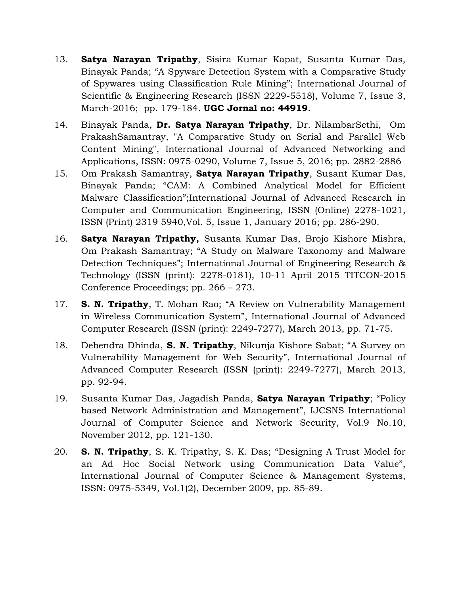- 13. **Satya Narayan Tripathy**, Sisira Kumar Kapat, Susanta Kumar Das, Binayak Panda; "A Spyware Detection System with a Comparative Study of Spywares using Classification Rule Mining"; International Journal of Scientific & Engineering Research (ISSN 2229-5518), Volume 7, Issue 3, March-2016; pp. 179-184. **UGC Jornal no: 44919**.
- 14. Binayak Panda, **Dr. Satya Narayan Tripathy**, Dr. NilambarSethi, Om PrakashSamantray, "A Comparative Study on Serial and Parallel Web Content Mining", International Journal of Advanced Networking and Applications, ISSN: 0975-0290, Volume 7, Issue 5, 2016; pp. 2882-2886
- 15. Om Prakash Samantray, **Satya Narayan Tripathy**, Susant Kumar Das, Binayak Panda; "CAM: A Combined Analytical Model for Efficient Malware Classification";International Journal of Advanced Research in Computer and Communication Engineering, ISSN (Online) 2278-1021, ISSN (Print) 2319 5940,Vol. 5, Issue 1, January 2016; pp. 286-290.
- 16. **Satya Narayan Tripathy,** Susanta Kumar Das, Brojo Kishore Mishra, Om Prakash Samantray; "A Study on Malware Taxonomy and Malware Detection Techniques"; International Journal of Engineering Research & Technology (ISSN (print): 2278-0181), 10-11 April 2015 TITCON-2015 Conference Proceedings; pp. 266 – 273.
- 17. **S. N. Tripathy**, T. Mohan Rao; "A Review on Vulnerability Management in Wireless Communication System", International Journal of Advanced Computer Research (ISSN (print): 2249-7277), March 2013, pp. 71-75.
- 18. Debendra Dhinda, **S. N. Tripathy**, Nikunja Kishore Sabat; "A Survey on Vulnerability Management for Web Security", International Journal of Advanced Computer Research (ISSN (print): 2249-7277), March 2013, pp. 92-94.
- 19. Susanta Kumar Das, Jagadish Panda, **Satya Narayan Tripathy**; "Policy based Network Administration and Management", IJCSNS International Journal of Computer Science and Network Security, Vol.9 No.10, November 2012, pp. 121-130.
- 20. **S. N. Tripathy**, S. K. Tripathy, S. K. Das; "Designing A Trust Model for an Ad Hoc Social Network using Communication Data Value", International Journal of Computer Science & Management Systems, ISSN: 0975-5349, Vol.1(2), December 2009, pp. 85-89.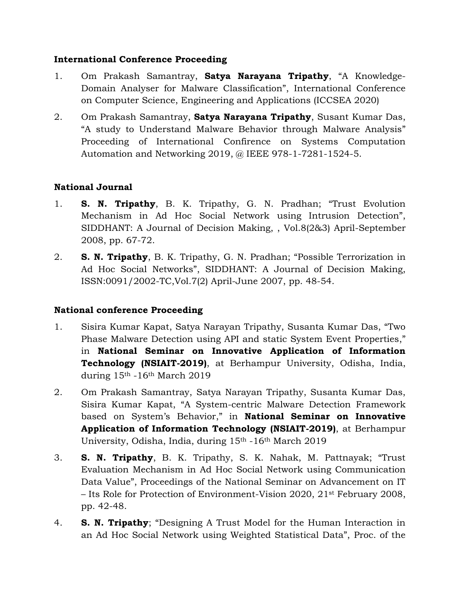#### **International Conference Proceeding**

- 1. Om Prakash Samantray, **Satya Narayana Tripathy**, "A Knowledge-Domain Analyser for Malware Classification", International Conference on Computer Science, Engineering and Applications (ICCSEA 2020)
- 2. Om Prakash Samantray, **Satya Narayana Tripathy**, Susant Kumar Das, "A study to Understand Malware Behavior through Malware Analysis" Proceeding of International Confirence on Systems Computation Automation and Networking 2019, @ IEEE 978-1-7281-1524-5.

## **National Journal**

- 1. **S. N. Tripathy**, B. K. Tripathy, G. N. Pradhan; "Trust Evolution Mechanism in Ad Hoc Social Network using Intrusion Detection", SIDDHANT: A Journal of Decision Making, , Vol.8(2&3) April-September 2008, pp. 67-72.
- 2. **S. N. Tripathy**, B. K. Tripathy, G. N. Pradhan; "Possible Terrorization in Ad Hoc Social Networks", SIDDHANT: A Journal of Decision Making, ISSN:0091/2002-TC,Vol.7(2) April-June 2007, pp. 48-54.

### **National conference Proceeding**

- 1. Sisira Kumar Kapat, Satya Narayan Tripathy, Susanta Kumar Das, "Two Phase Malware Detection using API and static System Event Properties," in **National Seminar on Innovative Application of Information Technology (NSIAIT-2019)**, at Berhampur University, Odisha, India, during 15th -16th March 2019
- 2. Om Prakash Samantray, Satya Narayan Tripathy, Susanta Kumar Das, Sisira Kumar Kapat, "A System-centric Malware Detection Framework based on System's Behavior," in **National Seminar on Innovative Application of Information Technology (NSIAIT-2019)**, at Berhampur University, Odisha, India, during 15th -16th March 2019
- 3. **S. N. Tripathy**, B. K. Tripathy, S. K. Nahak, M. Pattnayak; "Trust Evaluation Mechanism in Ad Hoc Social Network using Communication Data Value", Proceedings of the National Seminar on Advancement on IT – Its Role for Protection of Environment-Vision 2020, 21st February 2008, pp. 42-48.
- 4. **S. N. Tripathy**; "Designing A Trust Model for the Human Interaction in an Ad Hoc Social Network using Weighted Statistical Data", Proc. of the